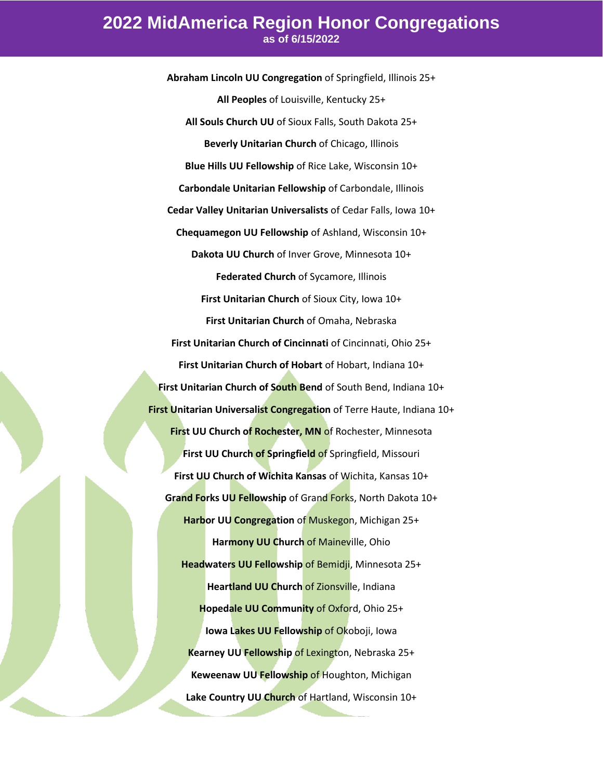**Abraham Lincoln UU Congregation** of Springfield, Illinois 25+ **All Peoples** of Louisville, Kentucky 25+ **All Souls Church UU** of Sioux Falls, South Dakota 25+ **Beverly Unitarian Church** of Chicago, Illinois **Blue Hills UU Fellowship** of Rice Lake, Wisconsin 10+ **Carbondale Unitarian Fellowship** of Carbondale, Illinois **Cedar Valley Unitarian Universalists** of Cedar Falls, Iowa 10+ **Chequamegon UU Fellowship** of Ashland, Wisconsin 10+ **Dakota UU Church** of Inver Grove, Minnesota 10+ **Federated Church** of Sycamore, Illinois **First Unitarian Church** of Sioux City, Iowa 10+ **First Unitarian Church** of Omaha, Nebraska **First Unitarian Church of Cincinnati** of Cincinnati, Ohio 25+ **First Unitarian Church of Hobart** of Hobart, Indiana 10+ **First Unitarian Church of South Bend** of South Bend, Indiana 10+ **First Unitarian Universalist Congregation** of Terre Haute, Indiana 10+ **First UU Church of Rochester, MN of Rochester, Minnesota First UU Church of Springfield** of Springfield, Missouri **First UU Church of Wichita Kansas** of Wichita, Kansas 10+ **Grand Forks UU Fellowship** of Grand Forks, North Dakota 10+ **Harbor UU Congregation** of Muskegon, Michigan 25+ **Harmony UU Church** of Maineville, Ohio **Headwaters UU Fellowship** of Bemidji, Minnesota 25+ **Heartland UU Church** of Zionsville, Indiana **Hopedale UU Community** of Oxford, Ohio 25+ **Iowa Lakes UU Fellowship** of Okoboji, Iowa **Kearney UU Fellowship of Lexington, Nebraska 25+ Keweenaw UU Fellowship** of Houghton, Michigan **Lake Country UU Church** of Hartland, Wisconsin 10+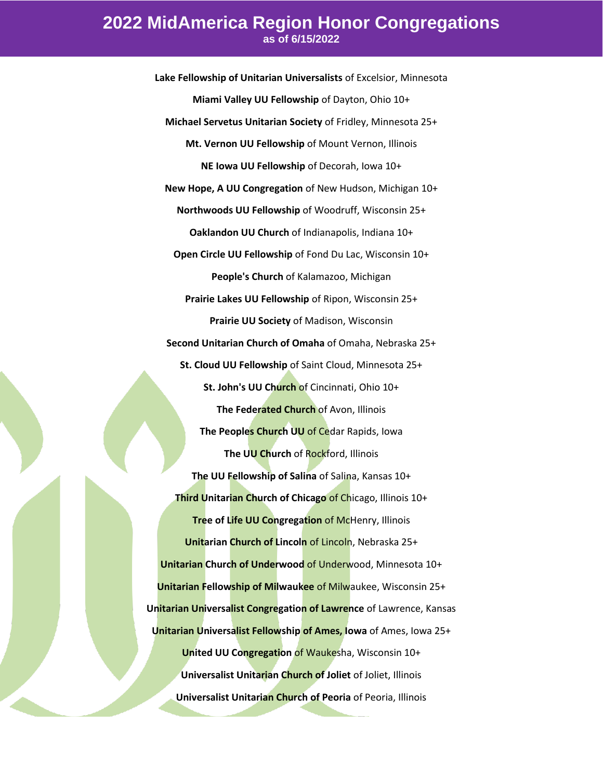**Lake Fellowship of Unitarian Universalists** of Excelsior, Minnesota **Miami Valley UU Fellowship** of Dayton, Ohio 10+ **Michael Servetus Unitarian Society** of Fridley, Minnesota 25+ **Mt. Vernon UU Fellowship** of Mount Vernon, Illinois **NE Iowa UU Fellowship** of Decorah, Iowa 10+ **New Hope, A UU Congregation** of New Hudson, Michigan 10+ **Northwoods UU Fellowship** of Woodruff, Wisconsin 25+ **Oaklandon UU Church** of Indianapolis, Indiana 10+ **Open Circle UU Fellowship** of Fond Du Lac, Wisconsin 10+ **People's Church** of Kalamazoo, Michigan **Prairie Lakes UU Fellowship** of Ripon, Wisconsin 25+ **Prairie UU Society** of Madison, Wisconsin **Second Unitarian Church of Omaha** of Omaha, Nebraska 25+ **St. Cloud UU Fellowship** of Saint Cloud, Minnesota 25+ **St. John's UU Church** of Cincinnati, Ohio 10+ **The Federated Church** of Avon, Illinois **The Peoples Church UU** of Cedar Rapids, Iowa **The UU Church** of Rockford, Illinois **The UU Fellowship of Salina** of Salina, Kansas 10+ **Third Unitarian Church of Chicago** of Chicago, Illinois 10+ **Tree of Life UU Congregation of McHenry, Illinois Unitarian Church of Lincoln** of Lincoln, Nebraska 25+ **Unitarian Church of Underwood** of Underwood, Minnesota 10+ **Unitarian Fellowship of Milwaukee** of Milwaukee, Wisconsin 25+ **Unitarian Universalist Congregation of Lawrence** of Lawrence, Kansas **Unitarian Universalist Fellowship of Ames, Iowa** of Ames, Iowa 25+ **United UU Congregation** of Waukesha, Wisconsin 10+ **Universalist Unitarian Church of Joliet** of Joliet, Illinois **Universalist Unitarian Church of Peoria** of Peoria, Illinois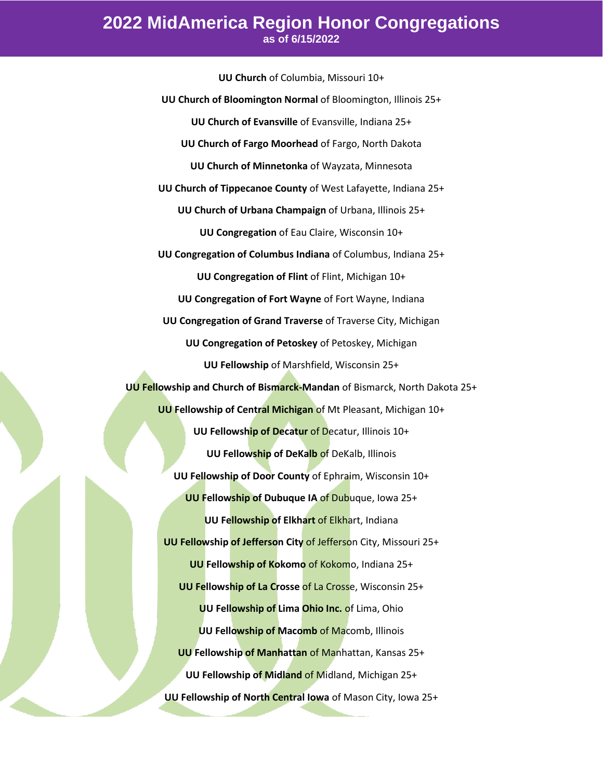**UU Church** of Columbia, Missouri 10+ **UU Church of Bloomington Normal** of Bloomington, Illinois 25+ **UU Church of Evansville** of Evansville, Indiana 25+ **UU Church of Fargo Moorhead** of Fargo, North Dakota **UU Church of Minnetonka** of Wayzata, Minnesota **UU Church of Tippecanoe County** of West Lafayette, Indiana 25+ **UU Church of Urbana Champaign** of Urbana, Illinois 25+ **UU Congregation** of Eau Claire, Wisconsin 10+ **UU Congregation of Columbus Indiana** of Columbus, Indiana 25+ **UU Congregation of Flint** of Flint, Michigan 10+ **UU Congregation of Fort Wayne** of Fort Wayne, Indiana **UU Congregation of Grand Traverse** of Traverse City, Michigan **UU Congregation of Petoskey** of Petoskey, Michigan **UU Fellowship** of Marshfield, Wisconsin 25+ **UU Fellowship and Church of Bismarck-Mandan** of Bismarck, North Dakota 25+ **UU Fellowship of Central Michigan** of Mt Pleasant, Michigan 10+ **UU Fellowship of Decatur** of Decatur, Illinois 10+ **UU Fellowship of DeKalb** of DeKalb, Illinois **UU Fellowship of Door County** of Ephraim, Wisconsin 10+ **UU Fellowship of Dubuque IA** of Dubuque, Iowa 25+ **UU Fellowship of Elkhart** of Elkhart, Indiana **UU Fellowship of Jefferson City** of Jefferson City, Missouri 25+ **UU Fellowship of Kokomo** of Kokomo, Indiana 25+ **UU Fellowship of La Crosse** of La Crosse, Wisconsin 25+ **UU Fellowship of Lima Ohio Inc.** of Lima, Ohio **UU Fellowship of Macomb** of Macomb, Illinois **UU Fellowship of Manhattan** of Manhattan, Kansas 25+ **UU Fellowship of Midland** of Midland, Michigan 25+ **UU Fellowship of North Central Iowa** of Mason City, Iowa 25+